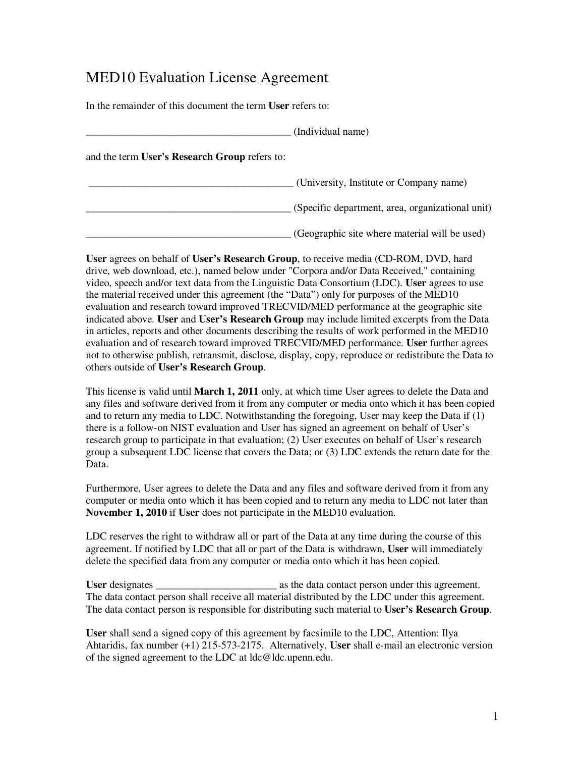## MED10 Evaluation License Agreement

In the remainder of this document the term **User** refers to:

|                                               | (Individual name)                                |
|-----------------------------------------------|--------------------------------------------------|
| and the term User's Research Group refers to: |                                                  |
|                                               | (University, Institute or Company name)          |
|                                               | (Specific department, area, organizational unit) |
|                                               | (Geographic site where material will be used)    |

**User** agrees on behalf of **User's Research Group**, to receive media (CD-ROM, DVD, hard drive, web download, etc.), named below under "Corpora and/or Data Received," containing video, speech and/or text data from the Linguistic Data Consortium (LDC). **User** agrees to use the material received under this agreement (the "Data") only for purposes of the MED10 evaluation and research toward improved TRECVID/MED performance at the geographic site indicated above. **User** and **User's Research Group** may include limited excerpts from the Data in articles, reports and other documents describing the results of work performed in the MED10 evaluation and of research toward improved TRECVID/MED performance. **User** further agrees not to otherwise publish, retransmit, disclose, display, copy, reproduce or redistribute the Data to others outside of **User's Research Group**.

This license is valid until **March 1, 2011** only, at which time User agrees to delete the Data and any files and software derived from it from any computer or media onto which it has been copied and to return any media to LDC. Notwithstanding the foregoing, User may keep the Data if  $(1)$ there is a follow-on NIST evaluation and User has signed an agreement on behalf of User's research group to participate in that evaluation; (2) User executes on behalf of User's research group a subsequent LDC license that covers the Data; or (3) LDC extends the return date for the Data.

Furthermore, User agrees to delete the Data and any files and software derived from it from any computer or media onto which it has been copied and to return any media to LDC not later than **November 1, 2010** if **User** does not participate in the MED10 evaluation.

LDC reserves the right to withdraw all or part of the Data at any time during the course of this agreement. If notified by LDC that all or part of the Data is withdrawn, **User** will immediately delete the specified data from any computer or media onto which it has been copied.

User designates as the data contact person under this agreement. The data contact person shall receive all material distributed by the LDC under this agreement. The data contact person is responsible for distributing such material to **User's Research Group**.

**User** shall send a signed copy of this agreement by facsimile to the LDC, Attention: Ilya Ahtaridis, fax number (+1) 215-573-2175. Alternatively, **User** shall e-mail an electronic version of the signed agreement to the LDC at ldc@ldc.upenn.edu.